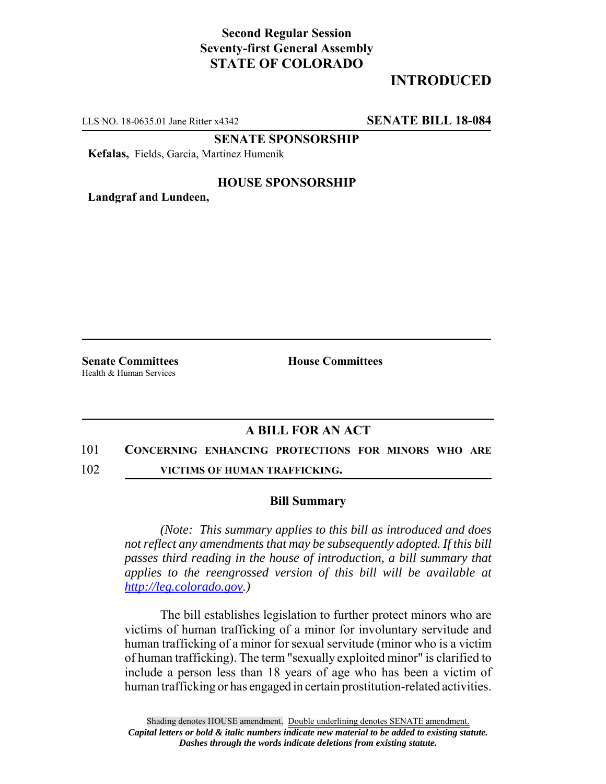## **Second Regular Session Seventy-first General Assembly STATE OF COLORADO**

# **INTRODUCED**

LLS NO. 18-0635.01 Jane Ritter x4342 **SENATE BILL 18-084**

**SENATE SPONSORSHIP**

**Kefalas,** Fields, Garcia, Martinez Humenik

## **HOUSE SPONSORSHIP**

**Landgraf and Lundeen,**

Health & Human Services

**Senate Committees House Committees** 

## **A BILL FOR AN ACT**

### 101 **CONCERNING ENHANCING PROTECTIONS FOR MINORS WHO ARE**

102 **VICTIMS OF HUMAN TRAFFICKING.**

### **Bill Summary**

*(Note: This summary applies to this bill as introduced and does not reflect any amendments that may be subsequently adopted. If this bill passes third reading in the house of introduction, a bill summary that applies to the reengrossed version of this bill will be available at http://leg.colorado.gov.)*

The bill establishes legislation to further protect minors who are victims of human trafficking of a minor for involuntary servitude and human trafficking of a minor for sexual servitude (minor who is a victim of human trafficking). The term "sexually exploited minor" is clarified to include a person less than 18 years of age who has been a victim of human trafficking or has engaged in certain prostitution-related activities.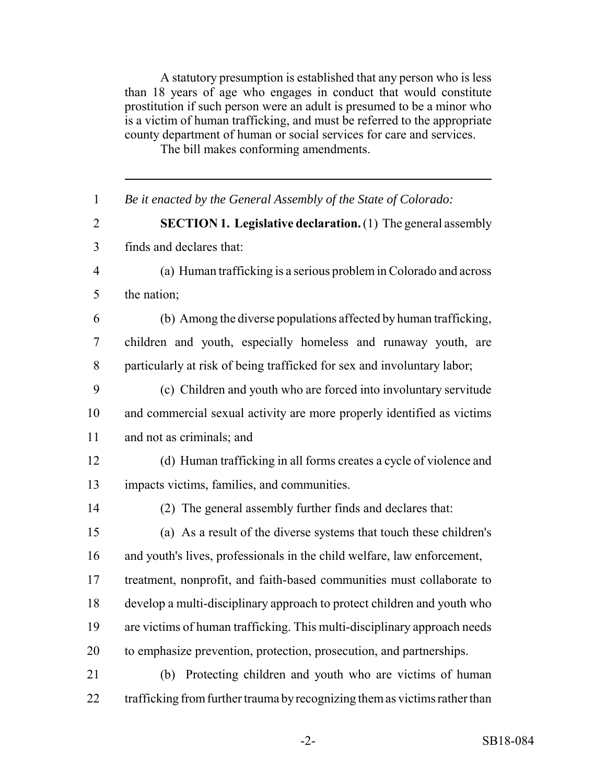A statutory presumption is established that any person who is less than 18 years of age who engages in conduct that would constitute prostitution if such person were an adult is presumed to be a minor who is a victim of human trafficking, and must be referred to the appropriate county department of human or social services for care and services.

The bill makes conforming amendments.

| $\mathbf{1}$   | Be it enacted by the General Assembly of the State of Colorado:            |
|----------------|----------------------------------------------------------------------------|
| $\overline{2}$ | <b>SECTION 1. Legislative declaration.</b> (1) The general assembly        |
| $\overline{3}$ | finds and declares that:                                                   |
| $\overline{4}$ | (a) Human trafficking is a serious problem in Colorado and across          |
| 5              | the nation;                                                                |
| 6              | (b) Among the diverse populations affected by human trafficking,           |
| $\tau$         | children and youth, especially homeless and runaway youth, are             |
| 8              | particularly at risk of being trafficked for sex and involuntary labor;    |
| 9              | (c) Children and youth who are forced into involuntary servitude           |
| 10             | and commercial sexual activity are more properly identified as victims     |
| 11             | and not as criminals; and                                                  |
| 12             | (d) Human trafficking in all forms creates a cycle of violence and         |
| 13             | impacts victims, families, and communities.                                |
| 14             | (2) The general assembly further finds and declares that:                  |
| 15             | (a) As a result of the diverse systems that touch these children's         |
| 16             | and youth's lives, professionals in the child welfare, law enforcement,    |
| 17             | treatment, nonprofit, and faith-based communities must collaborate to      |
| 18             | develop a multi-disciplinary approach to protect children and youth who    |
| 19             | are victims of human trafficking. This multi-disciplinary approach needs   |
| 20             | to emphasize prevention, protection, prosecution, and partnerships.        |
| 21             | Protecting children and youth who are victims of human<br>(b)              |
| 22             | trafficking from further trauma by recognizing them as victims rather than |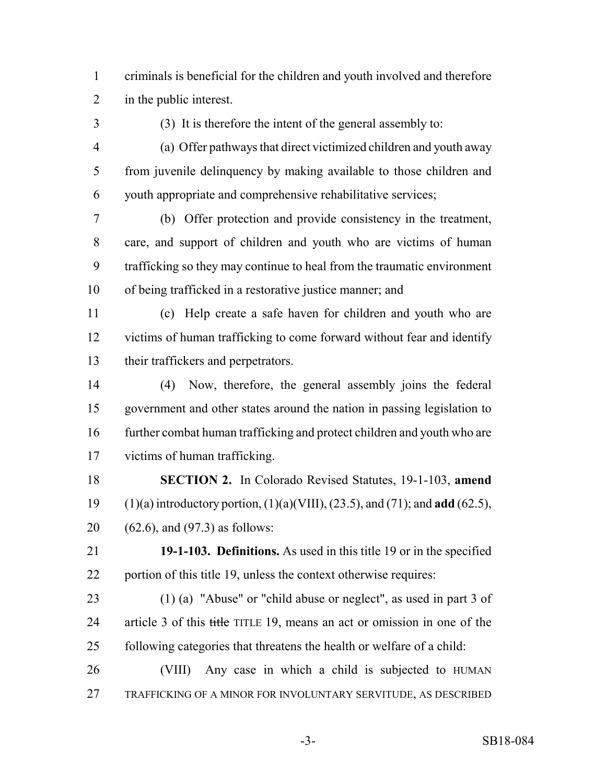criminals is beneficial for the children and youth involved and therefore in the public interest.

(3) It is therefore the intent of the general assembly to:

 (a) Offer pathways that direct victimized children and youth away from juvenile delinquency by making available to those children and youth appropriate and comprehensive rehabilitative services;

 (b) Offer protection and provide consistency in the treatment, care, and support of children and youth who are victims of human trafficking so they may continue to heal from the traumatic environment of being trafficked in a restorative justice manner; and

 (c) Help create a safe haven for children and youth who are victims of human trafficking to come forward without fear and identify their traffickers and perpetrators.

 (4) Now, therefore, the general assembly joins the federal government and other states around the nation in passing legislation to further combat human trafficking and protect children and youth who are victims of human trafficking.

 **SECTION 2.** In Colorado Revised Statutes, 19-1-103, **amend** (1)(a) introductory portion, (1)(a)(VIII), (23.5), and (71); and **add** (62.5), (62.6), and (97.3) as follows:

 **19-1-103. Definitions.** As used in this title 19 or in the specified portion of this title 19, unless the context otherwise requires:

 (1) (a) "Abuse" or "child abuse or neglect", as used in part 3 of 24 article 3 of this title TITLE 19, means an act or omission in one of the following categories that threatens the health or welfare of a child:

 (VIII) Any case in which a child is subjected to HUMAN TRAFFICKING OF A MINOR FOR INVOLUNTARY SERVITUDE, AS DESCRIBED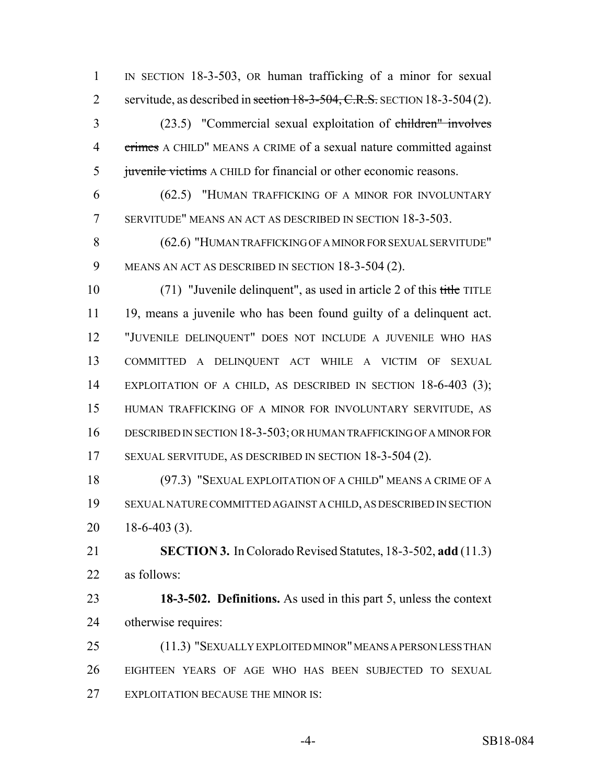IN SECTION 18-3-503, OR human trafficking of a minor for sexual 2 servitude, as described in section 18-3-504, C.R.S. SECTION 18-3-504(2).

 (23.5) "Commercial sexual exploitation of children" involves crimes A CHILD" MEANS A CRIME of a sexual nature committed against 5 juvenile victims A CHILD for financial or other economic reasons.

 (62.5) "HUMAN TRAFFICKING OF A MINOR FOR INVOLUNTARY SERVITUDE" MEANS AN ACT AS DESCRIBED IN SECTION 18-3-503.

 (62.6) "HUMAN TRAFFICKING OF A MINOR FOR SEXUAL SERVITUDE" MEANS AN ACT AS DESCRIBED IN SECTION 18-3-504 (2).

 (71) "Juvenile delinquent", as used in article 2 of this title TITLE 19, means a juvenile who has been found guilty of a delinquent act. "JUVENILE DELINQUENT" DOES NOT INCLUDE A JUVENILE WHO HAS COMMITTED A DELINQUENT ACT WHILE A VICTIM OF SEXUAL 14 EXPLOITATION OF A CHILD, AS DESCRIBED IN SECTION 18-6-403 (3); HUMAN TRAFFICKING OF A MINOR FOR INVOLUNTARY SERVITUDE, AS DESCRIBED IN SECTION 18-3-503; OR HUMAN TRAFFICKING OF A MINOR FOR SEXUAL SERVITUDE, AS DESCRIBED IN SECTION 18-3-504 (2).

 (97.3) "SEXUAL EXPLOITATION OF A CHILD" MEANS A CRIME OF A SEXUAL NATURE COMMITTED AGAINST A CHILD, AS DESCRIBED IN SECTION 18-6-403 (3).

 **SECTION 3.** In Colorado Revised Statutes, 18-3-502, **add** (11.3) as follows:

 **18-3-502. Definitions.** As used in this part 5, unless the context otherwise requires:

 (11.3) "SEXUALLY EXPLOITED MINOR" MEANS A PERSON LESS THAN EIGHTEEN YEARS OF AGE WHO HAS BEEN SUBJECTED TO SEXUAL EXPLOITATION BECAUSE THE MINOR IS: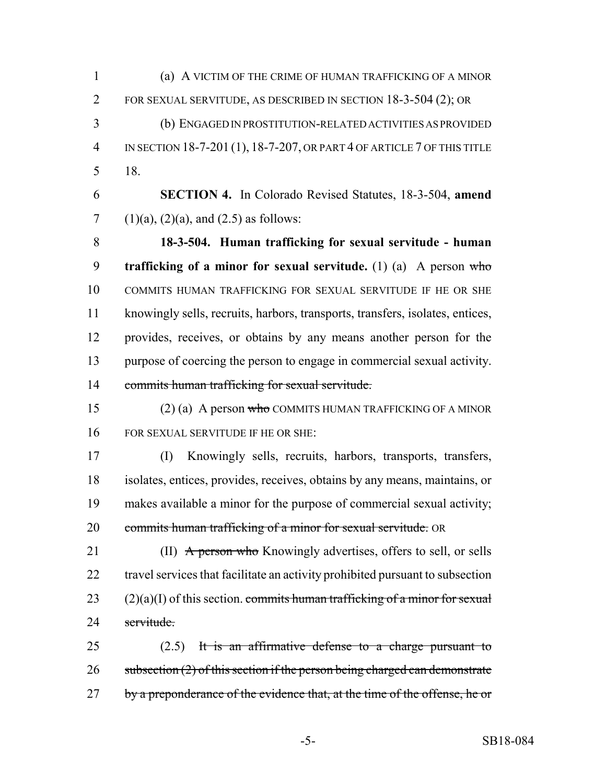(a) A VICTIM OF THE CRIME OF HUMAN TRAFFICKING OF A MINOR FOR SEXUAL SERVITUDE, AS DESCRIBED IN SECTION 18-3-504 (2); OR (b) ENGAGED IN PROSTITUTION-RELATED ACTIVITIES AS PROVIDED

 IN SECTION 18-7-201 (1), 18-7-207, OR PART 4 OF ARTICLE 7 OF THIS TITLE 18.

 **SECTION 4.** In Colorado Revised Statutes, 18-3-504, **amend** 7 (1)(a), (2)(a), and (2.5) as follows:

 **18-3-504. Human trafficking for sexual servitude - human trafficking of a minor for sexual servitude.** (1) (a) A person who COMMITS HUMAN TRAFFICKING FOR SEXUAL SERVITUDE IF HE OR SHE knowingly sells, recruits, harbors, transports, transfers, isolates, entices, provides, receives, or obtains by any means another person for the purpose of coercing the person to engage in commercial sexual activity. commits human trafficking for sexual servitude.

 (2) (a) A person who COMMITS HUMAN TRAFFICKING OF A MINOR FOR SEXUAL SERVITUDE IF HE OR SHE:

 (I) Knowingly sells, recruits, harbors, transports, transfers, isolates, entices, provides, receives, obtains by any means, maintains, or makes available a minor for the purpose of commercial sexual activity; 20 commits human trafficking of a minor for sexual servitude. OR

21 (II) A person who Knowingly advertises, offers to sell, or sells travel services that facilitate an activity prohibited pursuant to subsection (2)(a)(I) of this section. commits human trafficking of a minor for sexual servitude.

25 (2.5) It is an affirmative defense to a charge pursuant to 26 subsection  $(2)$  of this section if the person being charged can demonstrate 27 by a preponderance of the evidence that, at the time of the offense, he or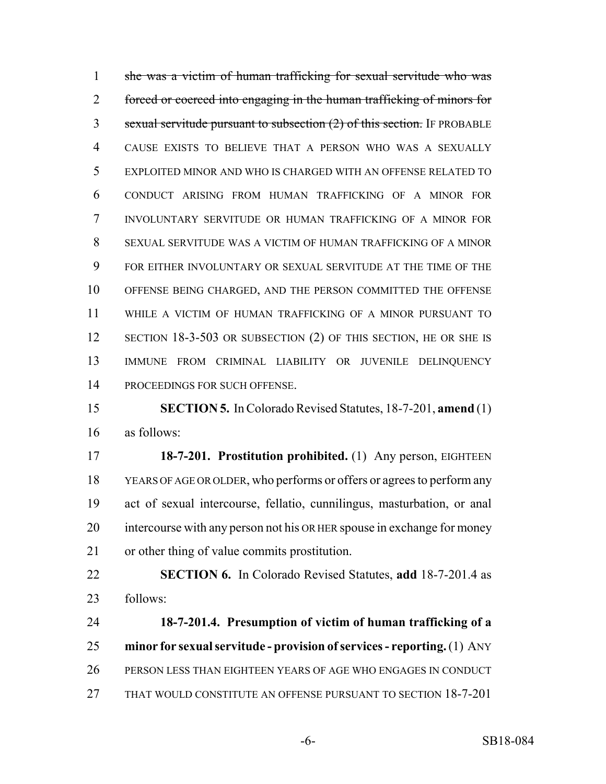she was a victim of human trafficking for sexual servitude who was forced or coerced into engaging in the human trafficking of minors for 3 sexual servitude pursuant to subsection (2) of this section. IF PROBABLE CAUSE EXISTS TO BELIEVE THAT A PERSON WHO WAS A SEXUALLY EXPLOITED MINOR AND WHO IS CHARGED WITH AN OFFENSE RELATED TO CONDUCT ARISING FROM HUMAN TRAFFICKING OF A MINOR FOR INVOLUNTARY SERVITUDE OR HUMAN TRAFFICKING OF A MINOR FOR SEXUAL SERVITUDE WAS A VICTIM OF HUMAN TRAFFICKING OF A MINOR FOR EITHER INVOLUNTARY OR SEXUAL SERVITUDE AT THE TIME OF THE OFFENSE BEING CHARGED, AND THE PERSON COMMITTED THE OFFENSE WHILE A VICTIM OF HUMAN TRAFFICKING OF A MINOR PURSUANT TO 12 SECTION 18-3-503 OR SUBSECTION (2) OF THIS SECTION, HE OR SHE IS IMMUNE FROM CRIMINAL LIABILITY OR JUVENILE DELINQUENCY PROCEEDINGS FOR SUCH OFFENSE.

 **SECTION 5.** In Colorado Revised Statutes, 18-7-201, **amend** (1) as follows:

 **18-7-201. Prostitution prohibited.** (1) Any person, EIGHTEEN YEARS OF AGE OR OLDER, who performs or offers or agrees to perform any act of sexual intercourse, fellatio, cunnilingus, masturbation, or anal 20 intercourse with any person not his OR HER spouse in exchange for money or other thing of value commits prostitution.

 **SECTION 6.** In Colorado Revised Statutes, **add** 18-7-201.4 as follows:

 **18-7-201.4. Presumption of victim of human trafficking of a minor for sexual servitude - provision of services - reporting.** (1) ANY PERSON LESS THAN EIGHTEEN YEARS OF AGE WHO ENGAGES IN CONDUCT THAT WOULD CONSTITUTE AN OFFENSE PURSUANT TO SECTION 18-7-201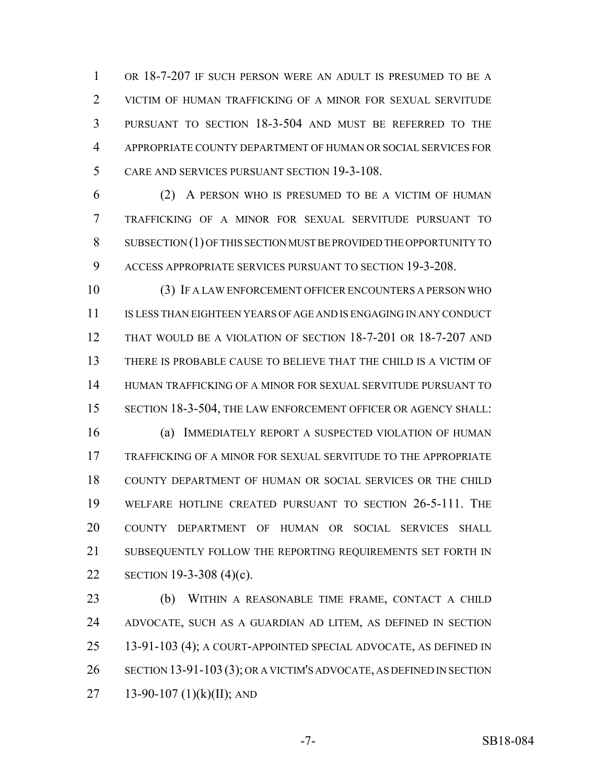OR 18-7-207 IF SUCH PERSON WERE AN ADULT IS PRESUMED TO BE A VICTIM OF HUMAN TRAFFICKING OF A MINOR FOR SEXUAL SERVITUDE PURSUANT TO SECTION 18-3-504 AND MUST BE REFERRED TO THE APPROPRIATE COUNTY DEPARTMENT OF HUMAN OR SOCIAL SERVICES FOR CARE AND SERVICES PURSUANT SECTION 19-3-108.

 (2) A PERSON WHO IS PRESUMED TO BE A VICTIM OF HUMAN TRAFFICKING OF A MINOR FOR SEXUAL SERVITUDE PURSUANT TO SUBSECTION (1) OF THIS SECTION MUST BE PROVIDED THE OPPORTUNITY TO ACCESS APPROPRIATE SERVICES PURSUANT TO SECTION 19-3-208.

 (3) IF A LAW ENFORCEMENT OFFICER ENCOUNTERS A PERSON WHO IS LESS THAN EIGHTEEN YEARS OF AGE AND IS ENGAGING IN ANY CONDUCT THAT WOULD BE A VIOLATION OF SECTION 18-7-201 OR 18-7-207 AND THERE IS PROBABLE CAUSE TO BELIEVE THAT THE CHILD IS A VICTIM OF HUMAN TRAFFICKING OF A MINOR FOR SEXUAL SERVITUDE PURSUANT TO SECTION 18-3-504, THE LAW ENFORCEMENT OFFICER OR AGENCY SHALL:

 (a) IMMEDIATELY REPORT A SUSPECTED VIOLATION OF HUMAN TRAFFICKING OF A MINOR FOR SEXUAL SERVITUDE TO THE APPROPRIATE COUNTY DEPARTMENT OF HUMAN OR SOCIAL SERVICES OR THE CHILD WELFARE HOTLINE CREATED PURSUANT TO SECTION 26-5-111. THE COUNTY DEPARTMENT OF HUMAN OR SOCIAL SERVICES SHALL SUBSEQUENTLY FOLLOW THE REPORTING REQUIREMENTS SET FORTH IN SECTION 19-3-308 (4)(c).

 (b) WITHIN A REASONABLE TIME FRAME, CONTACT A CHILD ADVOCATE, SUCH AS A GUARDIAN AD LITEM, AS DEFINED IN SECTION 13-91-103 (4); A COURT-APPOINTED SPECIAL ADVOCATE, AS DEFINED IN SECTION 13-91-103 (3); OR A VICTIM'S ADVOCATE, AS DEFINED IN SECTION 27 13-90-107 (1)(k)(II); AND